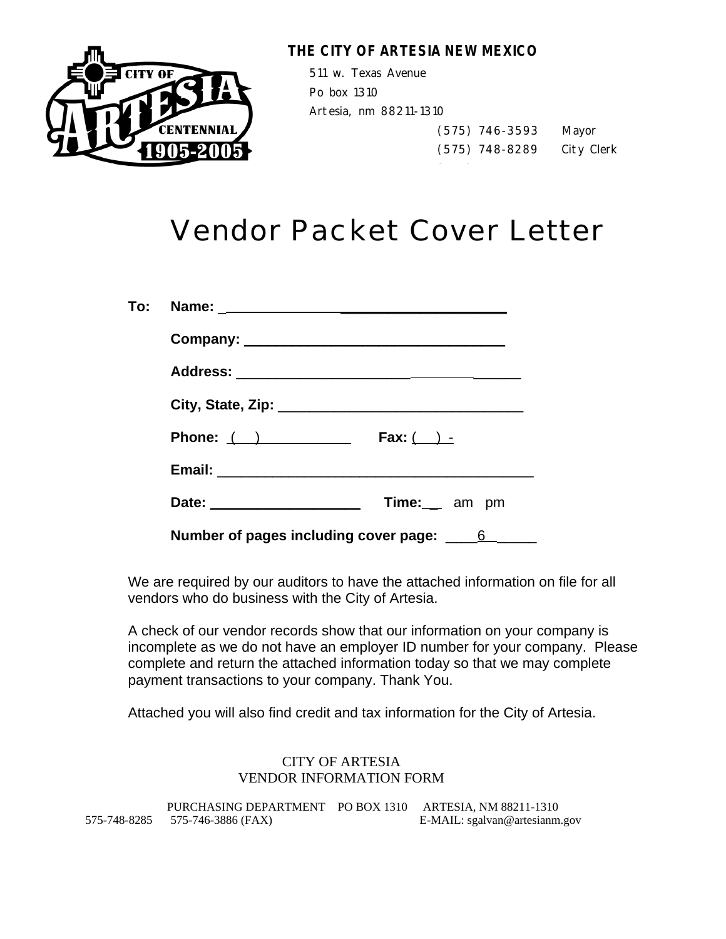

# **THE CITY OF ARTESIA NEW MEXICO**

511 w. Texas Avenue Po box 1310 Artesia, nm 88211-1310

 (575) 746-3593 Mayor (575) 748-8289 City Clerk

# Vendor Packet Cover Letter

| To: Name: _______________________________       |
|-------------------------------------------------|
|                                                 |
|                                                 |
|                                                 |
| Phone: $($ $)$<br>Fax: $\qquad \qquad$ -        |
|                                                 |
| Time: __ am pm<br>Date: _______________________ |
| Number of pages including cover page: ____<br>6 |

We are required by our auditors to have the attached information on file for all vendors who do business with the City of Artesia.

A check of our vendor records show that our information on your company is incomplete as we do not have an employer ID number for your company. Please complete and return the attached information today so that we may complete payment transactions to your company. Thank You.

Attached you will also find credit and tax information for the City of Artesia.

### CITY OF ARTESIA VENDOR INFORMATION FORM

PURCHASING DEPARTMENT PO BOX 1310 ARTESIA, NM 88211-1310 575-748-8285 575-746-3886 (FAX) E-MAIL: sgalvan@artesianm.gov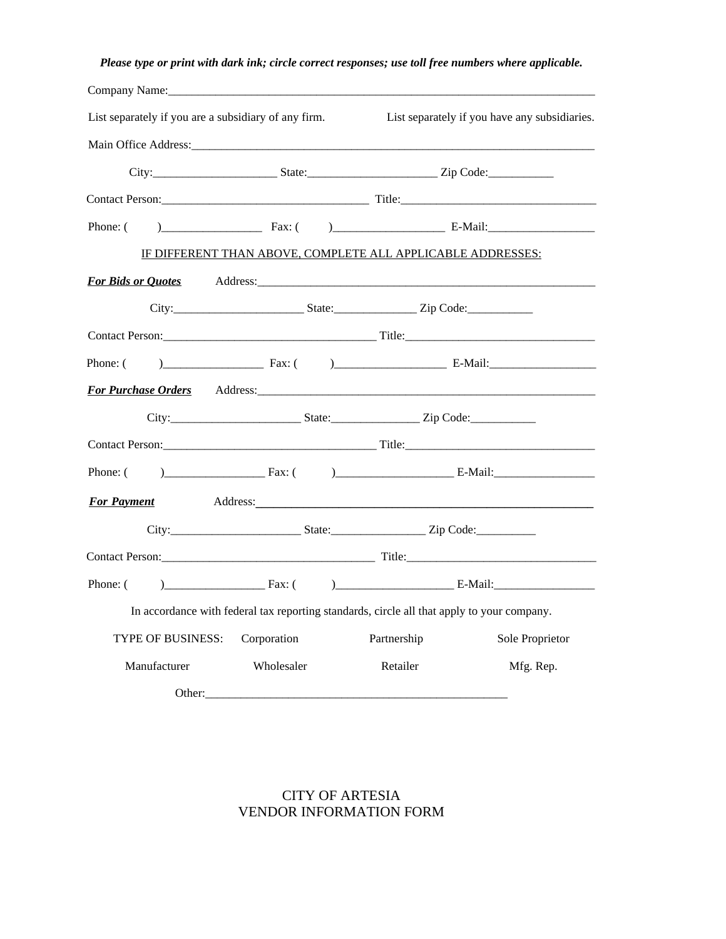## *Please type or print with dark ink; circle correct responses; use toll free numbers where applicable.*

| List separately if you are a subsidiary of any firm.                                                                                                                                                                           |             |                                                                                            | List separately if you have any subsidiaries. |
|--------------------------------------------------------------------------------------------------------------------------------------------------------------------------------------------------------------------------------|-------------|--------------------------------------------------------------------------------------------|-----------------------------------------------|
|                                                                                                                                                                                                                                |             |                                                                                            |                                               |
|                                                                                                                                                                                                                                |             |                                                                                            |                                               |
|                                                                                                                                                                                                                                |             |                                                                                            |                                               |
| Phone: (                                                                                                                                                                                                                       |             |                                                                                            | $\text{Fax:}$ $\qquad \qquad$ E-Mail:         |
|                                                                                                                                                                                                                                |             | IF DIFFERENT THAN ABOVE, COMPLETE ALL APPLICABLE ADDRESSES:                                |                                               |
| For Bids or Quotes Address: Address: Address: Address: Address: Address: Address: Address: Address: Address: Address: Address: Address: Address: Address: Address: Address: Address: Address: Address: Address: Address: Addre |             |                                                                                            |                                               |
|                                                                                                                                                                                                                                |             |                                                                                            |                                               |
|                                                                                                                                                                                                                                |             |                                                                                            |                                               |
| Phone: (                                                                                                                                                                                                                       |             |                                                                                            |                                               |
| For Purchase Orders Address: Address.                                                                                                                                                                                          |             |                                                                                            |                                               |
|                                                                                                                                                                                                                                |             |                                                                                            |                                               |
|                                                                                                                                                                                                                                |             |                                                                                            |                                               |
|                                                                                                                                                                                                                                |             |                                                                                            |                                               |
| <b>For Payment</b>                                                                                                                                                                                                             |             |                                                                                            |                                               |
|                                                                                                                                                                                                                                |             |                                                                                            |                                               |
|                                                                                                                                                                                                                                |             |                                                                                            |                                               |
| Phone: ( ) Fax: ( ) E-Mail:                                                                                                                                                                                                    |             |                                                                                            |                                               |
|                                                                                                                                                                                                                                |             | In accordance with federal tax reporting standards, circle all that apply to your company. |                                               |
| TYPE OF BUSINESS:                                                                                                                                                                                                              | Corporation | Partnership                                                                                | Sole Proprietor                               |
| Manufacturer                                                                                                                                                                                                                   | Wholesaler  | Retailer                                                                                   | Mfg. Rep.                                     |
| Other:                                                                                                                                                                                                                         |             |                                                                                            |                                               |

### CITY OF ARTESIA VENDOR INFORMATION FORM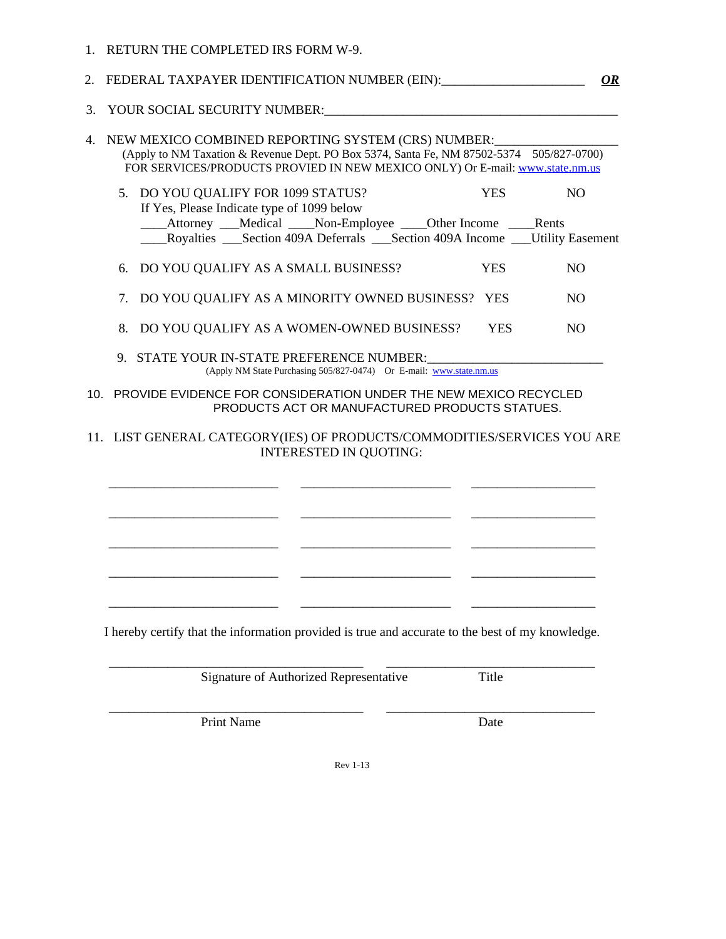|     | 1. RETURN THE COMPLETED IRS FORM W-9.                                                                                                                                                                                             |            |                |
|-----|-----------------------------------------------------------------------------------------------------------------------------------------------------------------------------------------------------------------------------------|------------|----------------|
|     | 2. FEDERAL TAXPAYER IDENTIFICATION NUMBER (EIN):____________________                                                                                                                                                              |            | <u>OR</u>      |
|     | 3. YOUR SOCIAL SECURITY NUMBER:                                                                                                                                                                                                   |            |                |
|     | 4. NEW MEXICO COMBINED REPORTING SYSTEM (CRS) NUMBER:<br>(Apply to NM Taxation & Revenue Dept. PO Box 5374, Santa Fe, NM 87502-5374 505/827-0700)<br>FOR SERVICES/PRODUCTS PROVIED IN NEW MEXICO ONLY) Or E-mail: www.state.nm.us |            |                |
|     | 5. DO YOU QUALIFY FOR 1099 STATUS?<br>If Yes, Please Indicate type of 1099 below                                                                                                                                                  | <b>YES</b> | N <sub>O</sub> |
|     | _____Attorney ____Medical _____Non-Employee _____Other Income _____Rents<br>Royalties Section 409A Deferrals Section 409A Income Utility Easement                                                                                 |            |                |
|     | 6. DO YOU QUALIFY AS A SMALL BUSINESS?                                                                                                                                                                                            | <b>YES</b> | NO.            |
|     | 7. DO YOU QUALIFY AS A MINORITY OWNED BUSINESS? YES                                                                                                                                                                               |            | NO.            |
|     | 8. DO YOU QUALIFY AS A WOMEN-OWNED BUSINESS?                                                                                                                                                                                      | <b>YES</b> | N <sub>O</sub> |
|     | 9. STATE YOUR IN-STATE PREFERENCE NUMBER:<br>(Apply NM State Purchasing 505/827-0474) Or E-mail: www.state.nm.us                                                                                                                  |            |                |
| 10. | PROVIDE EVIDENCE FOR CONSIDERATION UNDER THE NEW MEXICO RECYCLED<br>PRODUCTS ACT OR MANUFACTURED PRODUCTS STATUES.                                                                                                                |            |                |

### 11. LIST GENERAL CATEGORY(IES) OF PRODUCTS/COMMODITIES/SERVICES YOU ARE INTERESTED IN QUOTING:

\_\_\_\_\_\_\_\_\_\_\_\_\_\_\_\_\_\_\_\_\_\_\_\_\_\_ \_\_\_\_\_\_\_\_\_\_\_\_\_\_\_\_\_\_\_\_\_\_\_ \_\_\_\_\_\_\_\_\_\_\_\_\_\_\_\_\_\_\_

\_\_\_\_\_\_\_\_\_\_\_\_\_\_\_\_\_\_\_\_\_\_\_\_\_\_ \_\_\_\_\_\_\_\_\_\_\_\_\_\_\_\_\_\_\_\_\_\_\_ \_\_\_\_\_\_\_\_\_\_\_\_\_\_\_\_\_\_\_

\_\_\_\_\_\_\_\_\_\_\_\_\_\_\_\_\_\_\_\_\_\_\_\_\_\_ \_\_\_\_\_\_\_\_\_\_\_\_\_\_\_\_\_\_\_\_\_\_\_ \_\_\_\_\_\_\_\_\_\_\_\_\_\_\_\_\_\_\_

\_\_\_\_\_\_\_\_\_\_\_\_\_\_\_\_\_\_\_\_\_\_\_\_\_\_ \_\_\_\_\_\_\_\_\_\_\_\_\_\_\_\_\_\_\_\_\_\_\_ \_\_\_\_\_\_\_\_\_\_\_\_\_\_\_\_\_\_\_

I hereby certify that the information provided is true and accurate to the best of my knowledge.

\_\_\_\_\_\_\_\_\_\_\_\_\_\_\_\_\_\_\_\_\_\_\_\_\_\_\_\_\_\_\_\_\_\_\_\_\_\_\_ \_\_\_\_\_\_\_\_\_\_\_\_\_\_\_\_\_\_\_\_\_\_\_\_\_\_\_\_\_\_\_\_

\_\_\_\_\_\_\_\_\_\_\_\_\_\_\_\_\_\_\_\_\_\_\_\_\_\_ \_\_\_\_\_\_\_\_\_\_\_\_\_\_\_\_\_\_\_\_\_\_\_ \_\_\_\_\_\_\_\_\_\_\_\_\_\_\_\_\_\_\_

Signature of Authorized Representative Title

\_\_\_\_\_\_\_\_\_\_\_\_\_\_\_\_\_\_\_\_\_\_\_\_\_\_\_\_\_\_\_\_\_\_\_\_\_\_\_ \_\_\_\_\_\_\_\_\_\_\_\_\_\_\_\_\_\_\_\_\_\_\_\_\_\_\_\_\_\_\_\_

Print Name Date

Rev 1-13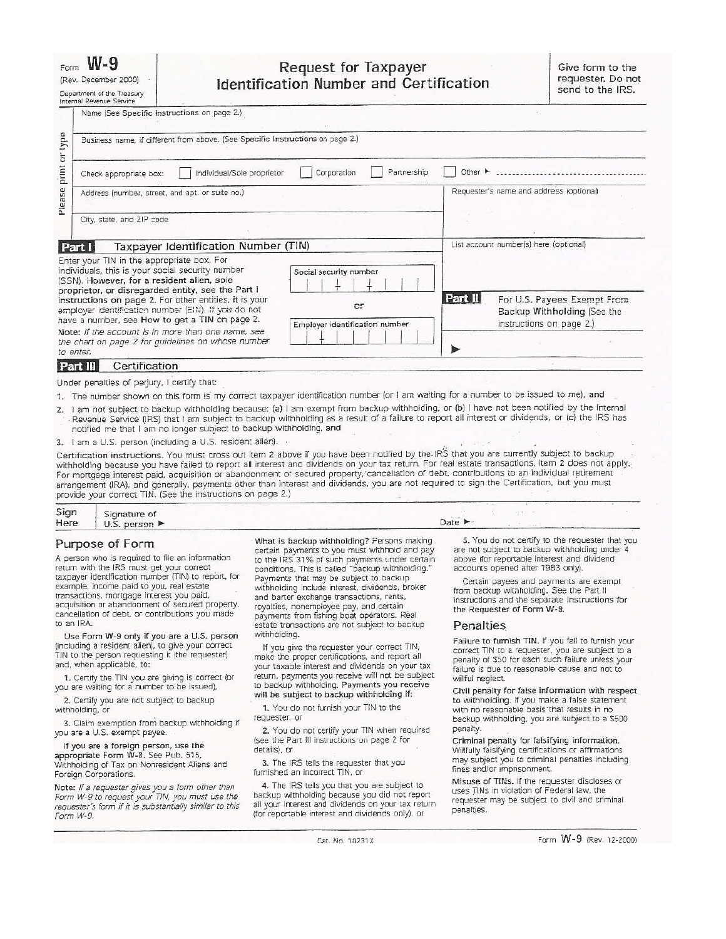### $W - 9$

|  | (Rev. December 2000) |
|--|----------------------|

| Department of the Treasury |
|----------------------------|
| Internal Revenue Service   |

### **Request for Taxpayer Identification Number and Certification**

Name (See Specific Instructions on page 2.) type Business name, if different from above. (See Specific Instructions on page 2.) print or Individual/Sole proprietor Corporation Partnership □ Other ► ................................ Check appropriate box: Please Requester's name and address (optional) Address (number, street, and apt. or suite no.) City, state, and ZIP code List account number(s) here (optional) Taxpayer Identification Number (TIN) Part I Enter your TIN in the appropriate box. For individuals, this is your social security number Social security number (SSN). However, for a resident alien, sole 士 proprietor, or disregarded entity, see the Part I Part II For U.S. Payees Exempt From instructions on page 2. For other entities, it is your  $\alpha$ <sub>r</sub> employer identification number (EIN). If you do not Backup Withholding (See the have a number, see How to get a TIN on page 2. instructions on page 2.) Employer identification number Note: If the account is in more than one name, see the chart on page 2 for guidelines on whose number to enter. Part III Certification

Under penalties of perjury, I certify that:

1. The number shown on this form is my correct taxpayer identification number (or I am waiting for a number to be issued to me), and

I am not subject to backup withholding because: (a) I am exempt from backup withholding, or (b) I have not been notified by the Internal  $2.$ Revenue Service (IRS) that I am subject to backup withholding as a result of a failure to report all interest or dividends, or (c) the IRS has notified me that I am no longer subject to backup withholding, and

3. I am a U.S. person (including a U.S. resident alien).

Certification instructions. You must cross out item 2 above if you have been notified by the IRS that you are currently subject to backup withholding because you have failed to report all interest and dividends on your tax return. For real estate transactions, item 2 does not apply. For mortgage interest paid, acquisition or abandonment of secured property, cancellation of debt, contributions to an individual retirement arrangement (IRA), and generally, payments other than interest and dividends, you are not required to sign the Certification, but you must provide your correct TIN. (See the instructions on page 2.)

| Sign | Signature of                      |                            |  |  |
|------|-----------------------------------|----------------------------|--|--|
| Here | U.S. person $\blacktriangleright$ | Date $\blacktriangleright$ |  |  |

#### Purpose of Form

A person who is required to file an information return with the IRS must get your correct taxpayer identification number (TIN) to report, for example, income paid to you, real estate transactions, mortgage interest you paid, acquisition or abandonment of secured property, cancellation of debt, or contributions you made to an IRA.

Use Form W-9 only if you are a U.S. person (including a resident alien), to give your correct TIN to the person requesting it (the requester) and, when applicable, to:

1. Certify the TIN you are giving is correct (or you are waiting for a number to be issued),

2. Certify you are not subject to backup withholding, or

3. Claim exemption from backup withholding if you are a U.S. exempt payee.

If you are a foreign person, use the appropriate Form W-8. See Pub. 515, Withholding of Tax on Nonresident Aliens and Foreign Corporations.

Note: If a requester gives you a form other than<br>Form W-9 to request your TIN, you must use the requester's form if it is substantially similar to this Form W-9.

What is backup withholding? Persons making certain payments to you must withhold and pay to the IRS 31% of such payments under certain<br>conditions. This is called "backup withholding." Payments that may be subject to backup withholding include interest, dividends, broker and barter exchange transactions, rents, royalties, nonemployee pay, and certain payments from fishing boat operators. Real estate transactions are not subject to backup withholding.

If you give the requester your correct TIN, make the proper certifications, and report all your taxable interest and dividends on your tax return, payments you receive will not be subject to backup withholding. Payments you receive will be subject to backup withholding if:

1. You do not furnish your TIN to the requester, or

2. You do not certify your TIN when required (see the Part III instructions on page 2 for details), or

3. The IRS tells the requester that you furnished an incorrect TIN, or

4. The IRS tells you that you are subject to backup withholding because you did not report all your interest and dividends on your tax return (for reportable interest and dividends only), or

5. You do not certify to the requester that you are not subject to backup withholding under 4 above (for reportable interest and dividend accounts opened after 1983 only).

Certain payees and payments are exempt from backup withholding. See the Part II instructions and the separate Instructions for the Requester of Form W-9.

#### Penalties

Failure to furnish TIN. If you fail to furnish your correct TIN to a requester, you are subject to a penalty of \$50 for each such failure unless your failure is due to reasonable cause and not to willful neglect.

Civil penalty for false information with respect to withholding. If you make a false statement with no reasonable basis that results in no backup withholding, you are subject to a \$500 penalty.

Criminal penalty for falsifying information. Willfully falsifying certifications or affirmations may subject you to criminal penalties including fines and/or imprisonment.

Misuse of TINs. If the requester discloses or uses TINs in violation of Federal law, the requester may be subject to civil and criminal penalties.

Cat. No. 10231X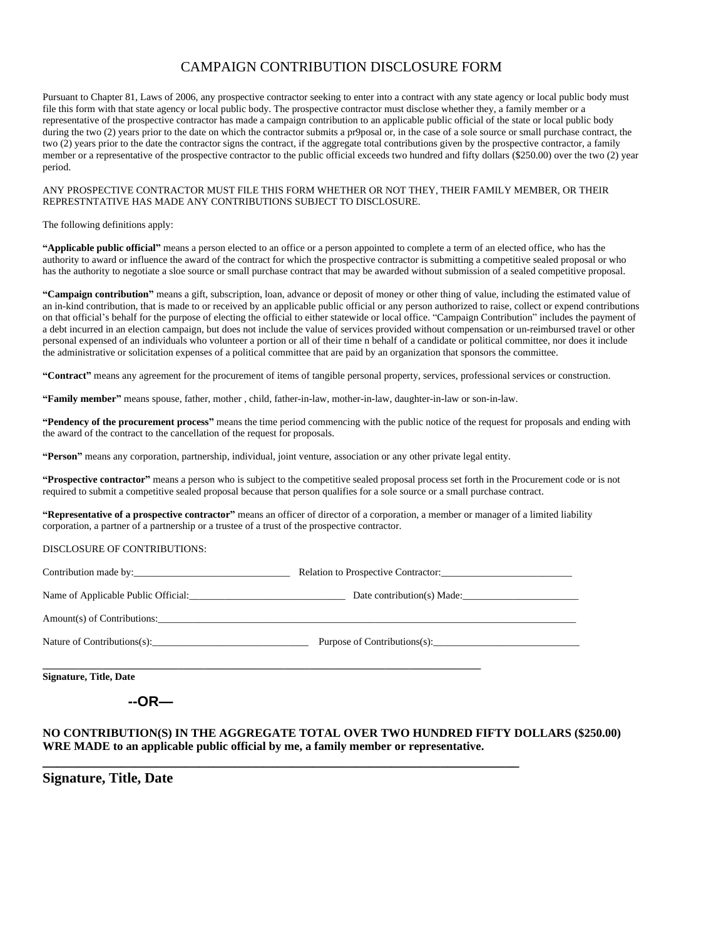### CAMPAIGN CONTRIBUTION DISCLOSURE FORM

Pursuant to Chapter 81, Laws of 2006, any prospective contractor seeking to enter into a contract with any state agency or local public body must file this form with that state agency or local public body. The prospective contractor must disclose whether they, a family member or a representative of the prospective contractor has made a campaign contribution to an applicable public official of the state or local public body during the two (2) years prior to the date on which the contractor submits a pr9posal or, in the case of a sole source or small purchase contract, the two (2) years prior to the date the contractor signs the contract, if the aggregate total contributions given by the prospective contractor, a family member or a representative of the prospective contractor to the public official exceeds two hundred and fifty dollars (\$250.00) over the two (2) year period.

#### ANY PROSPECTIVE CONTRACTOR MUST FILE THIS FORM WHETHER OR NOT THEY, THEIR FAMILY MEMBER, OR THEIR REPRESTNTATIVE HAS MADE ANY CONTRIBUTIONS SUBJECT TO DISCLOSURE.

#### The following definitions apply:

**"Applicable public official"** means a person elected to an office or a person appointed to complete a term of an elected office, who has the authority to award or influence the award of the contract for which the prospective contractor is submitting a competitive sealed proposal or who has the authority to negotiate a sloe source or small purchase contract that may be awarded without submission of a sealed competitive proposal.

**"Campaign contribution"** means a gift, subscription, loan, advance or deposit of money or other thing of value, including the estimated value of an in-kind contribution, that is made to or received by an applicable public official or any person authorized to raise, collect or expend contributions on that official's behalf for the purpose of electing the official to either statewide or local office. "Campaign Contribution" includes the payment of a debt incurred in an election campaign, but does not include the value of services provided without compensation or un-reimbursed travel or other personal expensed of an individuals who volunteer a portion or all of their time n behalf of a candidate or political committee, nor does it include the administrative or solicitation expenses of a political committee that are paid by an organization that sponsors the committee.

**"Contract"** means any agreement for the procurement of items of tangible personal property, services, professional services or construction.

**"Family member"** means spouse, father, mother , child, father-in-law, mother-in-law, daughter-in-law or son-in-law.

**"Pendency of the procurement process"** means the time period commencing with the public notice of the request for proposals and ending with the award of the contract to the cancellation of the request for proposals.

**"Person"** means any corporation, partnership, individual, joint venture, association or any other private legal entity.

**"Prospective contractor"** means a person who is subject to the competitive sealed proposal process set forth in the Procurement code or is not required to submit a competitive sealed proposal because that person qualifies for a sole source or a small purchase contract.

**"Representative of a prospective contractor"** means an officer of director of a corporation, a member or manager of a limited liability corporation, a partner of a partnership or a trustee of a trust of the prospective contractor.

#### DISCLOSURE OF CONTRIBUTIONS:

| Contribution made by:                                                                                                                                                                                                          | Relation to Prospective Contractor: |
|--------------------------------------------------------------------------------------------------------------------------------------------------------------------------------------------------------------------------------|-------------------------------------|
| Name of Applicable Public Official:                                                                                                                                                                                            | Date contribution(s) Made:          |
|                                                                                                                                                                                                                                |                                     |
| Nature of Contributions(s):                                                                                                                                                                                                    | Purpose of Contributions(s):        |
| $C^*$ and $C^*$ and $C^*$ $C^*$ $C^*$ $C^*$ $C^*$ $C^*$ $C^*$ $C^*$ $C^*$ $C^*$ $C^*$ $C^*$ $C^*$ $C^*$ $C^*$ $C^*$ $C^*$ $C^*$ $C^*$ $C^*$ $C^*$ $C^*$ $C^*$ $C^*$ $C^*$ $C^*$ $C^*$ $C^*$ $C^*$ $C^*$ $C^*$ $C^*$ $C^*$ $C^$ |                                     |

**\_\_\_\_\_\_\_\_\_\_\_\_\_\_\_\_\_\_\_\_\_\_\_\_\_\_\_\_\_\_\_\_\_\_\_\_\_\_\_\_\_\_\_\_\_\_\_\_\_\_\_\_\_\_\_\_\_\_\_\_\_\_\_\_\_\_\_**

**Signature, Title, Date**

### **--OR—**

### **NO CONTRIBUTION(S) IN THE AGGREGATE TOTAL OVER TWO HUNDRED FIFTY DOLLARS (\$250.00) WRE MADE to an applicable public official by me, a family member or representative.**

**Signature, Title, Date**